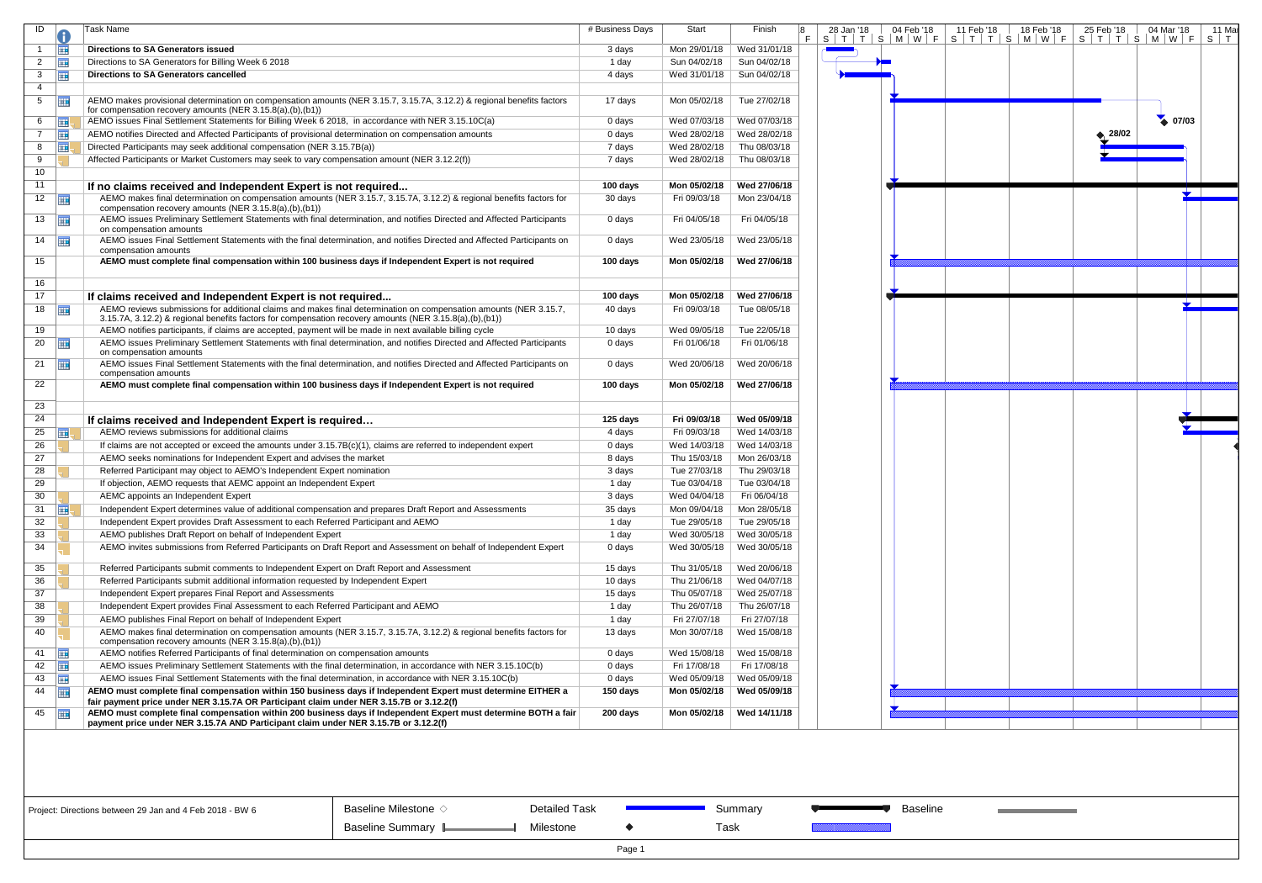| ID             | 0          | Task Name                                                                                                                                                                      | # Business Days | Start        | Finish       | 8<br>F. | 28 Jan '18<br>$S$   T   T   S   M   W   F | 04 Feb '18 | 11 F<br>$S$   $\overline{S}$ |
|----------------|------------|--------------------------------------------------------------------------------------------------------------------------------------------------------------------------------|-----------------|--------------|--------------|---------|-------------------------------------------|------------|------------------------------|
| $\overline{1}$ | <b>FIE</b> | <b>Directions to SA Generators issued</b>                                                                                                                                      | 3 days          | Mon 29/01/18 | Wed 31/01/18 |         |                                           |            |                              |
| $\overline{2}$ | <b>III</b> | Directions to SA Generators for Billing Week 6 2018                                                                                                                            | 1 day           | Sun 04/02/18 | Sun 04/02/18 |         |                                           |            |                              |
| 3              | <b>III</b> | Directions to SA Generators cancelled                                                                                                                                          | 4 days          | Wed 31/01/18 | Sun 04/02/18 |         |                                           |            |                              |
| 4              |            |                                                                                                                                                                                |                 |              |              |         |                                           |            |                              |
| 5              | 亜          | AEMO makes provisional determination on compensation amounts (NER 3.15.7, 3.15.7A, 3.12.2) & regional benefits factors                                                         | 17 days         | Mon 05/02/18 | Tue 27/02/18 |         |                                           |            |                              |
|                |            | for compensation recovery amounts (NER 3.15.8(a),(b),(b1))                                                                                                                     |                 |              |              |         |                                           |            |                              |
| 6              | 噩          | AEMO issues Final Settlement Statements for Billing Week 6 2018, in accordance with NER 3.15.10C(a)                                                                            | 0 days          | Wed 07/03/18 | Wed 07/03/18 |         |                                           |            |                              |
| $\overline{7}$ | <b>III</b> | AEMO notifies Directed and Affected Participants of provisional determination on compensation amounts                                                                          | 0 days          | Wed 28/02/18 | Wed 28/02/18 |         |                                           |            |                              |
| 8              | 噩          | Directed Participants may seek additional compensation (NER 3.15.7B(a))                                                                                                        | 7 days          | Wed 28/02/18 | Thu 08/03/18 |         |                                           |            |                              |
| 9              |            | Affected Participants or Market Customers may seek to vary compensation amount (NER 3.12.2(f))                                                                                 | 7 days          | Wed 28/02/18 | Thu 08/03/18 |         |                                           |            |                              |
| 10             |            |                                                                                                                                                                                |                 |              |              |         |                                           |            |                              |
| 11             |            | If no claims received and Independent Expert is not required                                                                                                                   | 100 days        | Mon 05/02/18 | Wed 27/06/18 |         |                                           |            |                              |
| 12             | m          | AEMO makes final determination on compensation amounts (NER 3.15.7, 3.15.7A, 3.12.2) & regional benefits factors for                                                           | 30 days         | Fri 09/03/18 | Mon 23/04/18 |         |                                           |            |                              |
|                |            | compensation recovery amounts (NER 3.15.8(a),(b),(b1))                                                                                                                         |                 |              |              |         |                                           |            |                              |
| 13             | 噩          | AEMO issues Preliminary Settlement Statements with final determination, and notifies Directed and Affected Participants<br>on compensation amounts                             | 0 days          | Fri 04/05/18 | Fri 04/05/18 |         |                                           |            |                              |
| 14             | 噩          | AEMO issues Final Settlement Statements with the final determination, and notifies Directed and Affected Participants on                                                       | 0 days          | Wed 23/05/18 | Wed 23/05/18 |         |                                           |            |                              |
|                |            | compensation amounts                                                                                                                                                           |                 |              |              |         |                                           |            |                              |
| 15             |            | AEMO must complete final compensation within 100 business days if Independent Expert is not required                                                                           | 100 days        | Mon 05/02/18 | Wed 27/06/18 |         |                                           |            |                              |
| 16             |            |                                                                                                                                                                                |                 |              |              |         |                                           |            |                              |
| 17             |            | If claims received and Independent Expert is not required                                                                                                                      | 100 days        | Mon 05/02/18 | Wed 27/06/18 |         |                                           |            |                              |
| 18             |            | AEMO reviews submissions for additional claims and makes final determination on compensation amounts (NER 3.15.7,                                                              | 40 days         | Fri 09/03/18 | Tue 08/05/18 |         |                                           |            |                              |
|                | m          | 3.15.7A, 3.12.2) & regional benefits factors for compensation recovery amounts (NER 3.15.8(a),(b),(b1))                                                                        |                 |              |              |         |                                           |            |                              |
| 19             |            | AEMO notifies participants, if claims are accepted, payment will be made in next available billing cycle                                                                       | 10 days         | Wed 09/05/18 | Tue 22/05/18 |         |                                           |            |                              |
| 20             | 亜          | AEMO issues Preliminary Settlement Statements with final determination, and notifies Directed and Affected Participants                                                        | 0 days          | Fri 01/06/18 | Fri 01/06/18 |         |                                           |            |                              |
|                |            | on compensation amounts                                                                                                                                                        |                 |              |              |         |                                           |            |                              |
| 21             | 噩          | AEMO issues Final Settlement Statements with the final determination, and notifies Directed and Affected Participants on<br>compensation amounts                               | 0 days          | Wed 20/06/18 | Wed 20/06/18 |         |                                           |            |                              |
| 22             |            | AEMO must complete final compensation within 100 business days if Independent Expert is not required                                                                           | 100 days        | Mon 05/02/18 | Wed 27/06/18 |         |                                           |            |                              |
|                |            |                                                                                                                                                                                |                 |              |              |         |                                           |            |                              |
| 23             |            |                                                                                                                                                                                |                 |              |              |         |                                           |            |                              |
| 24             |            | If claims received and Independent Expert is required                                                                                                                          | 125 days        | Fri 09/03/18 | Wed 05/09/18 |         |                                           |            |                              |
| 25             | m,         | AEMO reviews submissions for additional claims                                                                                                                                 | 4 days          | Fri 09/03/18 | Wed 14/03/18 |         |                                           |            |                              |
| 26             |            | If claims are not accepted or exceed the amounts under 3.15.7B(c)(1), claims are referred to independent expert                                                                | 0 days          | Wed 14/03/18 | Wed 14/03/18 |         |                                           |            |                              |
| 27             |            | AEMO seeks nominations for Independent Expert and advises the market                                                                                                           | 8 days          | Thu 15/03/18 | Mon 26/03/18 |         |                                           |            |                              |
| 28             |            | Referred Participant may object to AEMO's Independent Expert nomination                                                                                                        | 3 days          | Tue 27/03/18 | Thu 29/03/18 |         |                                           |            |                              |
| 29             |            | If objection, AEMO requests that AEMC appoint an Independent Expert                                                                                                            | 1 day           | Tue 03/04/18 | Tue 03/04/18 |         |                                           |            |                              |
| 30             |            | AEMC appoints an Independent Expert                                                                                                                                            | 3 days          | Wed 04/04/18 | Fri 06/04/18 |         |                                           |            |                              |
| 31             | ⊞          | Independent Expert determines value of additional compensation and prepares Draft Report and Assessments                                                                       | 35 days         | Mon 09/04/18 | Mon 28/05/18 |         |                                           |            |                              |
| 32             |            | Independent Expert provides Draft Assessment to each Referred Participant and AEMO                                                                                             | 1 day           | Tue 29/05/18 | Tue 29/05/18 |         |                                           |            |                              |
| 33             |            | AEMO publishes Draft Report on behalf of Independent Expert                                                                                                                    | 1 day           | Wed 30/05/18 | Wed 30/05/18 |         |                                           |            |                              |
| 34             |            | AEMO invites submissions from Referred Participants on Draft Report and Assessment on behalf of Independent Expert                                                             | 0 days          | Wed 30/05/18 | Wed 30/05/18 |         |                                           |            |                              |
|                |            |                                                                                                                                                                                |                 |              |              |         |                                           |            |                              |
| 35             |            | Referred Participants submit comments to Independent Expert on Draft Report and Assessment                                                                                     | 15 days         | Thu 31/05/18 | Wed 20/06/18 |         |                                           |            |                              |
| 36             |            | Referred Participants submit additional information requested by Independent Expert                                                                                            | 10 days         | Thu 21/06/18 | Wed 04/07/18 |         |                                           |            |                              |
| 37             |            | Independent Expert prepares Final Report and Assessments                                                                                                                       | 15 days         | Thu 05/07/18 | Wed 25/07/18 |         |                                           |            |                              |
| 38             |            | Independent Expert provides Final Assessment to each Referred Participant and AEMO                                                                                             | 1 day           | Thu 26/07/18 | Thu 26/07/18 |         |                                           |            |                              |
| 39             |            | AEMO publishes Final Report on behalf of Independent Expert                                                                                                                    | 1 day           | Fri 27/07/18 | Fri 27/07/18 |         |                                           |            |                              |
| 40             |            | AEMO makes final determination on compensation amounts (NER 3.15.7, 3.15.7A, 3.12.2) & regional benefits factors for<br>compensation recovery amounts (NER 3.15.8(a),(b),(b1)) | 13 days         | Mon 30/07/18 | Wed 15/08/18 |         |                                           |            |                              |
| 41             | <b>III</b> | AEMO notifies Referred Participants of final determination on compensation amounts                                                                                             | 0 days          | Wed 15/08/18 | Wed 15/08/18 |         |                                           |            |                              |
| 42             | <b>HE</b>  | AEMO issues Preliminary Settlement Statements with the final determination, in accordance with NER 3.15.10C(b)                                                                 | 0 days          | Fri 17/08/18 | Fri 17/08/18 |         |                                           |            |                              |
| 43             | 噩          | AEMO issues Final Settlement Statements with the final determination, in accordance with NER 3.15.10C(b)                                                                       | 0 days          | Wed 05/09/18 | Wed 05/09/18 |         |                                           |            |                              |
| 44             | <b>FIE</b> | AEMO must complete final compensation within 150 business days if Independent Expert must determine EITHER a                                                                   | 150 days        | Mon 05/02/18 | Wed 05/09/18 |         |                                           |            |                              |
|                |            | fair payment price under NER 3.15.7A OR Participant claim under NER 3.15.7B or 3.12.2(f)                                                                                       |                 |              |              |         |                                           |            |                              |
| 45             | ĦΕ         | AEMO must complete final compensation within 200 business days if Independent Expert must determine BOTH a fair                                                                | 200 days        | Mon 05/02/18 | Wed 14/11/18 |         |                                           |            |                              |
|                |            | payment price under NER 3.15.7A AND Participant claim under NER 3.15.7B or 3.12.2(f)                                                                                           |                 |              |              |         |                                           |            |                              |
|                |            |                                                                                                                                                                                |                 |              |              |         |                                           |            |                              |



Detailed Task

Milestone

Summary

**Baseline** 

Task

Page 1

 $\blacklozenge$ 

Project: Directions between 29 Jan and 4 Feb 2018 - BW 6

Baseline Milestone  $\diamond$ Baseline Summary L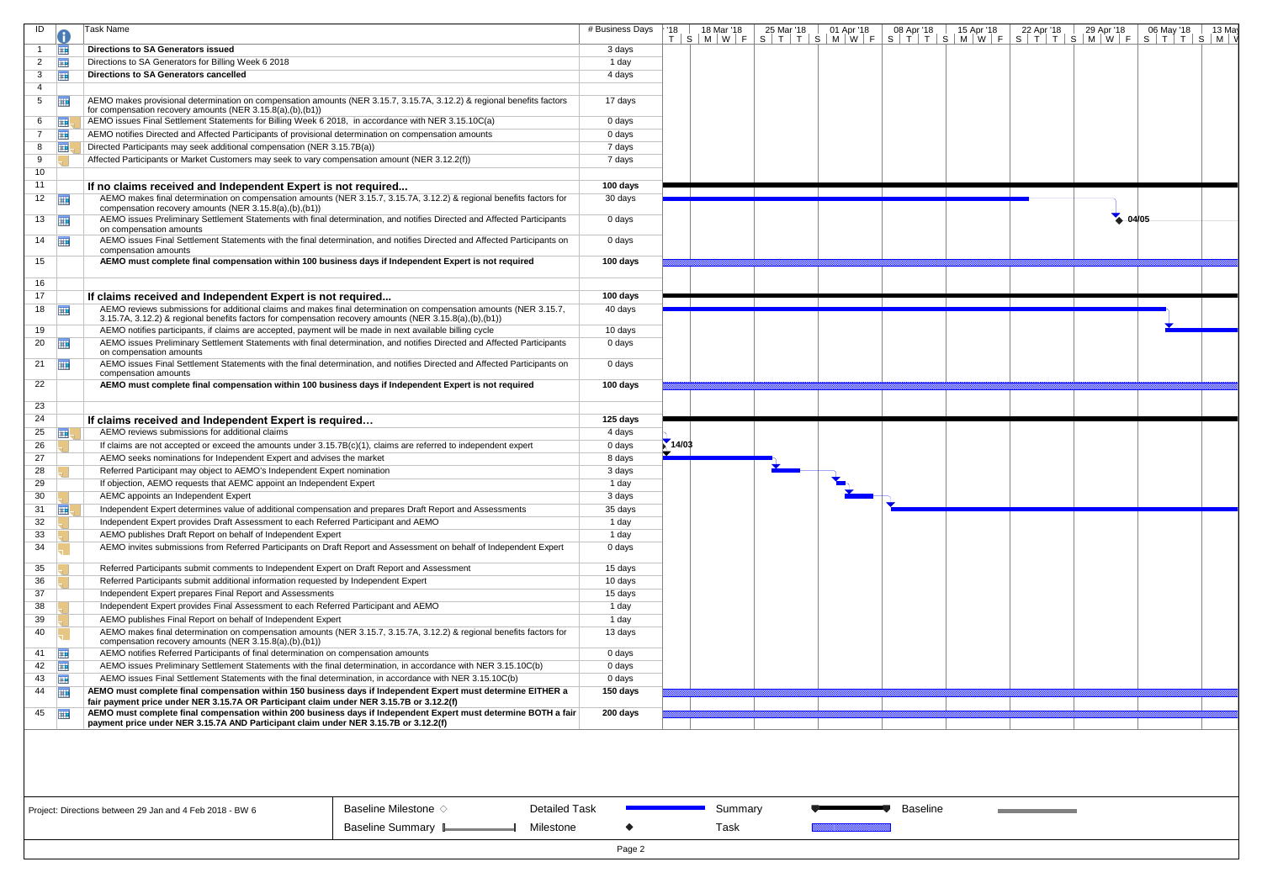| ID                           | Task Name                                                                                                                                        | # Business Days | · '18 | 18 Mar '18 | 25 Mar '18 | 01 Apr '18 | 08 Apr '18      | 15 Apr '18 | 22 Apr '18 | 29 Apr '18 | 06 May '18<br>13 May                                                    |
|------------------------------|--------------------------------------------------------------------------------------------------------------------------------------------------|-----------------|-------|------------|------------|------------|-----------------|------------|------------|------------|-------------------------------------------------------------------------|
|                              |                                                                                                                                                  |                 |       |            |            |            |                 |            |            |            | T S M W F S T T S M W F S T T S M W F S T T S M W F S M W F S T T S M W |
| 亜                            | Directions to SA Generators issued                                                                                                               | 3 days          |       |            |            |            |                 |            |            |            |                                                                         |
| <b>THE</b><br>$\overline{2}$ | Directions to SA Generators for Billing Week 6 2018                                                                                              | 1 day           |       |            |            |            |                 |            |            |            |                                                                         |
| 噩<br>3                       | <b>Directions to SA Generators cancelled</b>                                                                                                     | 4 days          |       |            |            |            |                 |            |            |            |                                                                         |
| 4                            |                                                                                                                                                  |                 |       |            |            |            |                 |            |            |            |                                                                         |
| 再<br>5                       | AEMO makes provisional determination on compensation amounts (NER 3.15.7, 3.15.7A, 3.12.2) & regional benefits factors                           | 17 days         |       |            |            |            |                 |            |            |            |                                                                         |
|                              | for compensation recovery amounts (NER 3.15.8(a),(b),(b1))                                                                                       |                 |       |            |            |            |                 |            |            |            |                                                                         |
| 6<br><b>HE.</b>              | AEMO issues Final Settlement Statements for Billing Week 6 2018, in accordance with NER 3.15.10C(a)                                              | 0 days          |       |            |            |            |                 |            |            |            |                                                                         |
| ⊞<br>$7^{\circ}$             | AEMO notifies Directed and Affected Participants of provisional determination on compensation amounts                                            | 0 days          |       |            |            |            |                 |            |            |            |                                                                         |
| ⊞!<br>8                      | Directed Participants may seek additional compensation (NER 3.15.7B(a))                                                                          | 7 days          |       |            |            |            |                 |            |            |            |                                                                         |
| 9                            | Affected Participants or Market Customers may seek to vary compensation amount (NER 3.12.2(f))                                                   | 7 days          |       |            |            |            |                 |            |            |            |                                                                         |
| 10                           |                                                                                                                                                  |                 |       |            |            |            |                 |            |            |            |                                                                         |
| 11                           | If no claims received and Independent Expert is not required                                                                                     | 100 days        |       |            |            |            |                 |            |            |            |                                                                         |
| 12                           | AEMO makes final determination on compensation amounts (NER 3.15.7, 3.15.7A, 3.12.2) & regional benefits factors for                             | 30 days         |       |            |            |            |                 |            |            |            |                                                                         |
|                              | compensation recovery amounts (NER 3.15.8(a),(b),(b1))                                                                                           |                 |       |            |            |            |                 |            |            |            |                                                                         |
| 13                           | AEMO issues Preliminary Settlement Statements with final determination, and notifies Directed and Affected Participants                          | 0 days          |       |            |            |            |                 |            |            | 4.04/05    |                                                                         |
|                              | on compensation amounts                                                                                                                          |                 |       |            |            |            |                 |            |            |            |                                                                         |
| $14$ $\Box$                  | AEMO issues Final Settlement Statements with the final determination, and notifies Directed and Affected Participants on<br>compensation amounts | 0 days          |       |            |            |            |                 |            |            |            |                                                                         |
| 15                           | AEMO must complete final compensation within 100 business days if Independent Expert is not required                                             | 100 days        |       |            |            |            |                 |            |            |            |                                                                         |
|                              |                                                                                                                                                  |                 |       |            |            |            |                 |            |            |            |                                                                         |
| 16                           |                                                                                                                                                  |                 |       |            |            |            |                 |            |            |            |                                                                         |
| 17                           | If claims received and Independent Expert is not required                                                                                        | 100 days        |       |            |            |            |                 |            |            |            |                                                                         |
| 18                           | AEMO reviews submissions for additional claims and makes final determination on compensation amounts (NER 3.15.7,                                | 40 days         |       |            |            |            |                 |            |            |            |                                                                         |
|                              | 3.15.7A, 3.12.2) & regional benefits factors for compensation recovery amounts (NER 3.15.8(a),(b),(b1))                                          |                 |       |            |            |            |                 |            |            |            |                                                                         |
| 19                           | AEMO notifies participants, if claims are accepted, payment will be made in next available billing cycle                                         | 10 days         |       |            |            |            |                 |            |            |            |                                                                         |
| 20                           | AEMO issues Preliminary Settlement Statements with final determination, and notifies Directed and Affected Participants                          | 0 days          |       |            |            |            |                 |            |            |            |                                                                         |
|                              | on compensation amounts                                                                                                                          |                 |       |            |            |            |                 |            |            |            |                                                                         |
| 21 $\frac{1}{2}$             | AEMO issues Final Settlement Statements with the final determination, and notifies Directed and Affected Participants on<br>compensation amounts | 0 days          |       |            |            |            |                 |            |            |            |                                                                         |
| 22                           | AEMO must complete final compensation within 100 business days if Independent Expert is not required                                             | 100 days        |       |            |            |            |                 |            |            |            |                                                                         |
|                              |                                                                                                                                                  |                 |       |            |            |            |                 |            |            |            |                                                                         |
| 23                           |                                                                                                                                                  |                 |       |            |            |            |                 |            |            |            |                                                                         |
| 24                           | If claims received and Independent Expert is required                                                                                            | 125 days        |       |            |            |            |                 |            |            |            |                                                                         |
| 25<br><b>FIEL</b>            | AEMO reviews submissions for additional claims                                                                                                   | 4 days          |       |            |            |            |                 |            |            |            |                                                                         |
| 26                           | If claims are not accepted or exceed the amounts under 3.15.7B(c)(1), claims are referred to independent expert                                  | 0 days          | 14/03 |            |            |            |                 |            |            |            |                                                                         |
| 27                           |                                                                                                                                                  |                 |       |            |            |            |                 |            |            |            |                                                                         |
|                              | AEMO seeks nominations for Independent Expert and advises the market                                                                             | 8 days          |       |            |            |            |                 |            |            |            |                                                                         |
| 28                           | Referred Participant may object to AEMO's Independent Expert nomination                                                                          | 3 days          |       |            |            |            |                 |            |            |            |                                                                         |
| 29                           | If objection, AEMO requests that AEMC appoint an Independent Expert                                                                              | 1 day           |       |            |            |            |                 |            |            |            |                                                                         |
| 30                           | AEMC appoints an Independent Expert                                                                                                              | 3 days          |       |            |            |            |                 |            |            |            |                                                                         |
| 31                           | Independent Expert determines value of additional compensation and prepares Draft Report and Assessments                                         | 35 days         |       |            |            |            |                 |            |            |            |                                                                         |
| 噩                            | Independent Expert provides Draft Assessment to each Referred Participant and AEMO                                                               |                 |       |            |            |            |                 |            |            |            |                                                                         |
| 32                           |                                                                                                                                                  | 1 day           |       |            |            |            |                 |            |            |            |                                                                         |
| 33                           | AEMO publishes Draft Report on behalf of Independent Expert                                                                                      | 1 day           |       |            |            |            |                 |            |            |            |                                                                         |
| 34                           | AEMO invites submissions from Referred Participants on Draft Report and Assessment on behalf of Independent Expert                               | 0 days          |       |            |            |            |                 |            |            |            |                                                                         |
| 35                           | Referred Participants submit comments to Independent Expert on Draft Report and Assessment                                                       | 15 days         |       |            |            |            |                 |            |            |            |                                                                         |
| 36                           | Referred Participants submit additional information requested by Independent Expert                                                              | 10 days         |       |            |            |            |                 |            |            |            |                                                                         |
| 37                           | Independent Expert prepares Final Report and Assessments                                                                                         | 15 days         |       |            |            |            |                 |            |            |            |                                                                         |
| 38                           | Independent Expert provides Final Assessment to each Referred Participant and AEMO                                                               | 1 day           |       |            |            |            |                 |            |            |            |                                                                         |
| 39                           | AEMO publishes Final Report on behalf of Independent Expert                                                                                      | 1 day           |       |            |            |            |                 |            |            |            |                                                                         |
| 40                           | AEMO makes final determination on compensation amounts (NER 3.15.7, 3.15.7A, 3.12.2) & regional benefits factors for                             | 13 days         |       |            |            |            |                 |            |            |            |                                                                         |
|                              | compensation recovery amounts (NER 3.15.8(a),(b),(b1))                                                                                           |                 |       |            |            |            |                 |            |            |            |                                                                         |
| 用<br>41                      | AEMO notifies Referred Participants of final determination on compensation amounts                                                               | 0 days          |       |            |            |            |                 |            |            |            |                                                                         |
| $42$ $\Box$                  | AEMO issues Preliminary Settlement Statements with the final determination, in accordance with NER 3.15.10C(b)                                   | 0 days          |       |            |            |            |                 |            |            |            |                                                                         |
| $43 \quad \boxed{11}$        | AEMO issues Final Settlement Statements with the final determination, in accordance with NER 3.15.10C(b)                                         | 0 days          |       |            |            |            |                 |            |            |            |                                                                         |
| 44                           | AEMO must complete final compensation within 150 business days if Independent Expert must determine EITHER a                                     | 150 days        |       |            |            |            |                 |            |            |            |                                                                         |
|                              | fair payment price under NER 3.15.7A OR Participant claim under NER 3.15.7B or 3.12.2(f)                                                         |                 |       |            |            |            |                 |            |            |            |                                                                         |
| 45                           | AEMO must complete final compensation within 200 business days if Independent Expert must determine BOTH a fair                                  | 200 days        |       |            |            |            |                 |            |            |            |                                                                         |
|                              | payment price under NER 3.15.7A AND Participant claim under NER 3.15.7B or 3.12.2(f)                                                             |                 |       |            |            |            |                 |            |            |            |                                                                         |
|                              |                                                                                                                                                  |                 |       |            |            |            |                 |            |            |            |                                                                         |
|                              |                                                                                                                                                  |                 |       |            |            |            |                 |            |            |            |                                                                         |
|                              |                                                                                                                                                  |                 |       |            |            |            |                 |            |            |            |                                                                         |
|                              | Baseline Milestone $\diamond$<br><b>Detailed Task</b><br>Project: Directions between 29 Jan and 4 Feb 2018 - BW 6                                |                 |       | Summary    |            |            | <b>Baseline</b> |            |            |            |                                                                         |
|                              |                                                                                                                                                  |                 |       |            |            |            |                 |            |            |            |                                                                         |
|                              | Baseline Summary L<br>Milestone                                                                                                                  | Page 2          |       | Task       |            |            |                 |            |            |            |                                                                         |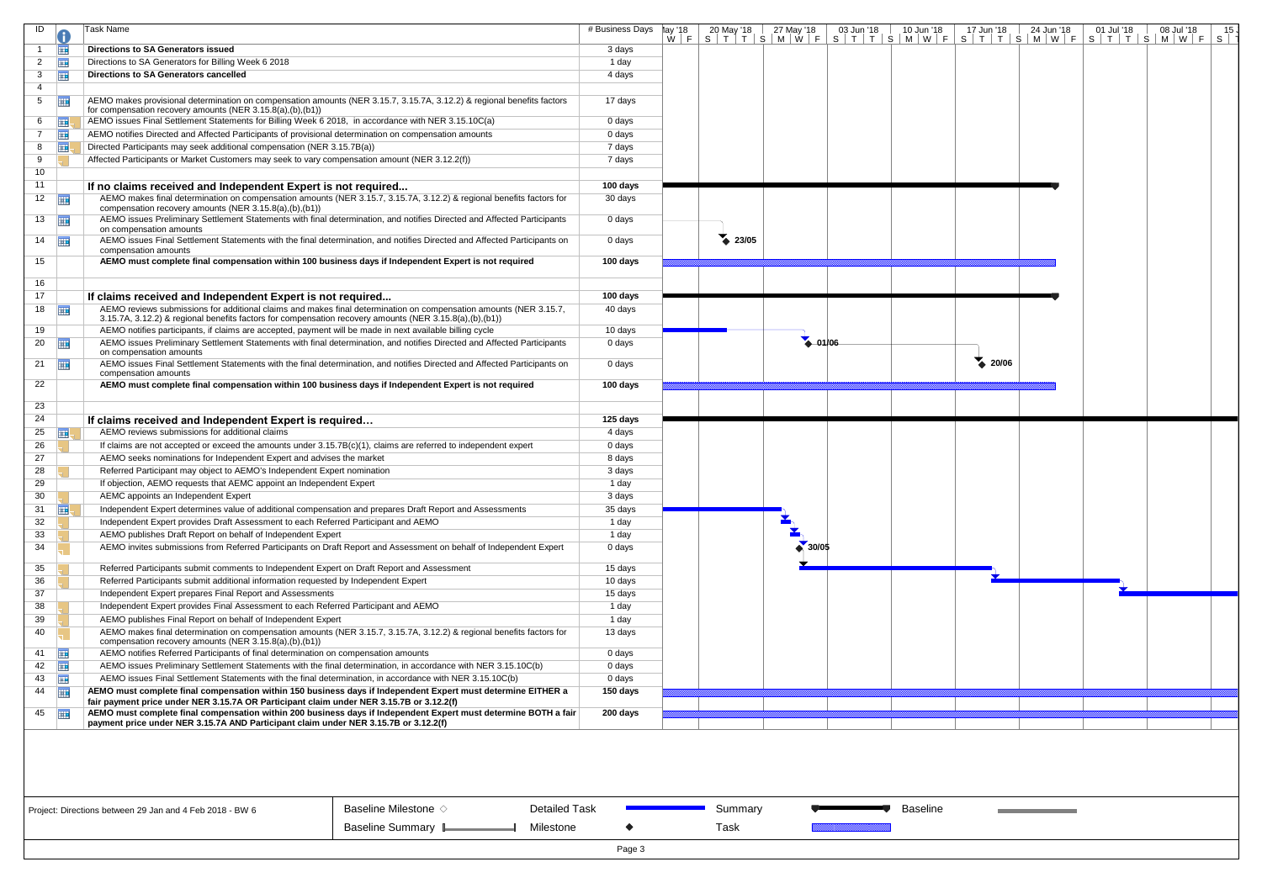| ID              |                       | Task Name                                                                                                                                                                                                                    | # Business Days | ¶ay '18 |       | 20 May '18 27 May '18 | 03 Jun '18 | $10$ Jun $18$ | 17 Jun '18 | 24 Jun '18 | 01 Jul '18 | 08 Jul '18<br>15 <sub>1</sub>                                                                                                                                                                                                |
|-----------------|-----------------------|------------------------------------------------------------------------------------------------------------------------------------------------------------------------------------------------------------------------------|-----------------|---------|-------|-----------------------|------------|---------------|------------|------------|------------|------------------------------------------------------------------------------------------------------------------------------------------------------------------------------------------------------------------------------|
|                 | 亜                     | <b>Directions to SA Generators issued</b>                                                                                                                                                                                    | 3 days          |         |       |                       |            |               |            |            |            | $W \mid F \mid S \mid T \mid T \mid S \mid M \mid W \mid F \mid S \mid T \mid T \mid S \mid M \mid W \mid F \mid S \mid T \mid T \mid S \mid M \mid W \mid F \mid S \mid T \mid T \mid S \mid M \mid W \mid F \mid S \mid T$ |
| 2               | E.                    | Directions to SA Generators for Billing Week 6 2018                                                                                                                                                                          | 1 day           |         |       |                       |            |               |            |            |            |                                                                                                                                                                                                                              |
| 3               | Ŧ                     | Directions to SA Generators cancelled                                                                                                                                                                                        | 4 days          |         |       |                       |            |               |            |            |            |                                                                                                                                                                                                                              |
| 4               |                       |                                                                                                                                                                                                                              |                 |         |       |                       |            |               |            |            |            |                                                                                                                                                                                                                              |
| 5               | 霊                     | AEMO makes provisional determination on compensation amounts (NER 3.15.7, 3.15.7A, 3.12.2) & regional benefits factors<br>for compensation recovery amounts (NER 3.15.8(a),(b),(b1))                                         | 17 days         |         |       |                       |            |               |            |            |            |                                                                                                                                                                                                                              |
| 6               | <b>FILL</b>           | AEMO issues Final Settlement Statements for Billing Week 6 2018, in accordance with NER 3.15.10C(a)                                                                                                                          | 0 days          |         |       |                       |            |               |            |            |            |                                                                                                                                                                                                                              |
|                 | 亜                     | AEMO notifies Directed and Affected Participants of provisional determination on compensation amounts                                                                                                                        | 0 days          |         |       |                       |            |               |            |            |            |                                                                                                                                                                                                                              |
| 8               | 噩                     | Directed Participants may seek additional compensation (NER 3.15.7B(a))                                                                                                                                                      | 7 days          |         |       |                       |            |               |            |            |            |                                                                                                                                                                                                                              |
| 9               |                       | Affected Participants or Market Customers may seek to vary compensation amount (NER 3.12.2(f))                                                                                                                               | 7 days          |         |       |                       |            |               |            |            |            |                                                                                                                                                                                                                              |
| 10 <sup>°</sup> |                       |                                                                                                                                                                                                                              |                 |         |       |                       |            |               |            |            |            |                                                                                                                                                                                                                              |
| 11              |                       | If no claims received and Independent Expert is not required                                                                                                                                                                 | 100 days        |         |       |                       |            |               |            |            |            |                                                                                                                                                                                                                              |
|                 | $12$ $\frac{1}{111}$  | AEMO makes final determination on compensation amounts (NER 3.15.7, 3.15.7A, 3.12.2) & regional benefits factors for                                                                                                         | 30 days         |         |       |                       |            |               |            |            |            |                                                                                                                                                                                                                              |
|                 |                       | compensation recovery amounts (NER 3.15.8(a),(b),(b1))                                                                                                                                                                       |                 |         |       |                       |            |               |            |            |            |                                                                                                                                                                                                                              |
|                 | $13 \quad \boxed{11}$ | AEMO issues Preliminary Settlement Statements with final determination, and notifies Directed and Affected Participants<br>on compensation amounts                                                                           | 0 days          |         |       |                       |            |               |            |            |            |                                                                                                                                                                                                                              |
|                 | $14$ $\Box$           | AEMO issues Final Settlement Statements with the final determination, and notifies Directed and Affected Participants on<br>compensation amounts                                                                             | 0 days          |         | 23/05 |                       |            |               |            |            |            |                                                                                                                                                                                                                              |
| 15              |                       | AEMO must complete final compensation within 100 business days if Independent Expert is not required                                                                                                                         | 100 days        |         |       |                       |            |               |            |            |            |                                                                                                                                                                                                                              |
| 16              |                       |                                                                                                                                                                                                                              |                 |         |       |                       |            |               |            |            |            |                                                                                                                                                                                                                              |
| 17              |                       | If claims received and Independent Expert is not required                                                                                                                                                                    | 100 days        |         |       |                       |            |               |            |            |            |                                                                                                                                                                                                                              |
|                 | $18$ $\Box$           | AEMO reviews submissions for additional claims and makes final determination on compensation amounts (NER 3.15.7,<br>3.15.7A, 3.12.2) & regional benefits factors for compensation recovery amounts (NER 3.15.8(a),(b),(b1)) | 40 days         |         |       |                       |            |               |            |            |            |                                                                                                                                                                                                                              |
| 19              |                       | AEMO notifies participants, if claims are accepted, payment will be made in next available billing cycle                                                                                                                     | 10 days         |         |       |                       |            |               |            |            |            |                                                                                                                                                                                                                              |
| 20              | 亜                     | AEMO issues Preliminary Settlement Statements with final determination, and notifies Directed and Affected Participants<br>on compensation amounts                                                                           | 0 days          |         |       | $-01/06$              |            |               |            |            |            |                                                                                                                                                                                                                              |
|                 | 21 $\frac{1}{2}$      | AEMO issues Final Settlement Statements with the final determination, and notifies Directed and Affected Participants on<br>compensation amounts                                                                             | 0 days          |         |       |                       |            |               | 20/06      |            |            |                                                                                                                                                                                                                              |
| 22              |                       | AEMO must complete final compensation within 100 business days if Independent Expert is not required                                                                                                                         | 100 days        |         |       |                       |            |               |            |            |            |                                                                                                                                                                                                                              |
|                 |                       |                                                                                                                                                                                                                              |                 |         |       |                       |            |               |            |            |            |                                                                                                                                                                                                                              |
| 23              |                       |                                                                                                                                                                                                                              |                 |         |       |                       |            |               |            |            |            |                                                                                                                                                                                                                              |
| 24              |                       | If claims received and Independent Expert is required                                                                                                                                                                        | 125 days        |         |       |                       |            |               |            |            |            |                                                                                                                                                                                                                              |
| 25              | ⊞                     | AEMO reviews submissions for additional claims                                                                                                                                                                               | 4 days          |         |       |                       |            |               |            |            |            |                                                                                                                                                                                                                              |
| 26              |                       | If claims are not accepted or exceed the amounts under 3.15.7B(c)(1), claims are referred to independent expert<br>AEMO seeks nominations for Independent Expert and advises the market                                      | 0 days          |         |       |                       |            |               |            |            |            |                                                                                                                                                                                                                              |
| 27<br>28        |                       | Referred Participant may object to AEMO's Independent Expert nomination                                                                                                                                                      | 8 days          |         |       |                       |            |               |            |            |            |                                                                                                                                                                                                                              |
| 29              |                       | If objection, AEMO requests that AEMC appoint an Independent Expert                                                                                                                                                          | 3 days<br>1 day |         |       |                       |            |               |            |            |            |                                                                                                                                                                                                                              |
| 30              |                       | AEMC appoints an Independent Expert                                                                                                                                                                                          | 3 days          |         |       |                       |            |               |            |            |            |                                                                                                                                                                                                                              |
|                 | 31 $\mathbf{H}$       | Independent Expert determines value of additional compensation and prepares Draft Report and Assessments                                                                                                                     | 35 days         |         |       |                       |            |               |            |            |            |                                                                                                                                                                                                                              |
| 32              |                       | Independent Expert provides Draft Assessment to each Referred Participant and AEMO                                                                                                                                           | 1 day           |         |       |                       |            |               |            |            |            |                                                                                                                                                                                                                              |
| 33              |                       | AEMO publishes Draft Report on behalf of Independent Expert                                                                                                                                                                  | 1 day           |         |       |                       |            |               |            |            |            |                                                                                                                                                                                                                              |
| 34              |                       | AEMO invites submissions from Referred Participants on Draft Report and Assessment on behalf of Independent Expert                                                                                                           | 0 days          |         |       | $\bullet$ 30/05       |            |               |            |            |            |                                                                                                                                                                                                                              |
|                 |                       |                                                                                                                                                                                                                              |                 |         |       |                       |            |               |            |            |            |                                                                                                                                                                                                                              |
| 35              |                       | Referred Participants submit comments to Independent Expert on Draft Report and Assessment                                                                                                                                   | 15 days         |         |       |                       |            |               |            |            |            |                                                                                                                                                                                                                              |
| 36              |                       | Referred Participants submit additional information requested by Independent Expert                                                                                                                                          | 10 days         |         |       |                       |            |               |            |            |            |                                                                                                                                                                                                                              |
| 37              |                       | Independent Expert prepares Final Report and Assessments                                                                                                                                                                     | 15 days         |         |       |                       |            |               |            |            |            |                                                                                                                                                                                                                              |
| 38              |                       | Independent Expert provides Final Assessment to each Referred Participant and AEMO                                                                                                                                           | 1 day           |         |       |                       |            |               |            |            |            |                                                                                                                                                                                                                              |
| 39              |                       | AEMO publishes Final Report on behalf of Independent Expert                                                                                                                                                                  | 1 day           |         |       |                       |            |               |            |            |            |                                                                                                                                                                                                                              |
| 40              |                       | AEMO makes final determination on compensation amounts (NER 3.15.7, 3.15.7A, 3.12.2) & regional benefits factors for<br>compensation recovery amounts (NER 3.15.8(a),(b),(b1))                                               | 13 days         |         |       |                       |            |               |            |            |            |                                                                                                                                                                                                                              |
| 41              | <b>HIE</b>            | AEMO notifies Referred Participants of final determination on compensation amounts                                                                                                                                           | 0 days          |         |       |                       |            |               |            |            |            |                                                                                                                                                                                                                              |
|                 | 42                    | AEMO issues Preliminary Settlement Statements with the final determination, in accordance with NER 3.15.10C(b)                                                                                                               | 0 days          |         |       |                       |            |               |            |            |            |                                                                                                                                                                                                                              |
|                 | $43 \quad \boxed{11}$ | AEMO issues Final Settlement Statements with the final determination, in accordance with NER 3.15.10C(b)                                                                                                                     | 0 days          |         |       |                       |            |               |            |            |            |                                                                                                                                                                                                                              |
| 44              | <b>HIE</b>            | AEMO must complete final compensation within 150 business days if Independent Expert must determine EITHER a<br>fair payment price under NER 3.15.7A OR Participant claim under NER 3.15.7B or 3.12.2(f)                     | 150 days        |         |       |                       |            |               |            |            |            |                                                                                                                                                                                                                              |
|                 | 45                    | AEMO must complete final compensation within 200 business days if Independent Expert must determine BOTH a fair<br>payment price under NER 3.15.7A AND Participant claim under NER 3.15.7B or 3.12.2(f)                      | 200 days        |         |       |                       |            |               |            |            |            |                                                                                                                                                                                                                              |
|                 |                       |                                                                                                                                                                                                                              |                 |         |       |                       |            |               |            |            |            |                                                                                                                                                                                                                              |
|                 |                       |                                                                                                                                                                                                                              |                 |         |       |                       |            |               |            |            |            |                                                                                                                                                                                                                              |



Detailed Task

Milestone

Summary Task

**Baseline** 

 $\mathcal{L}_{\mathcal{A}}$ 

Page 3

 $\blacklozenge$ 

Project: Directions between 29 Jan and 4 Feb 2018 - BW 6

Baseline Milestone  $\diamond$ Baseline Summary L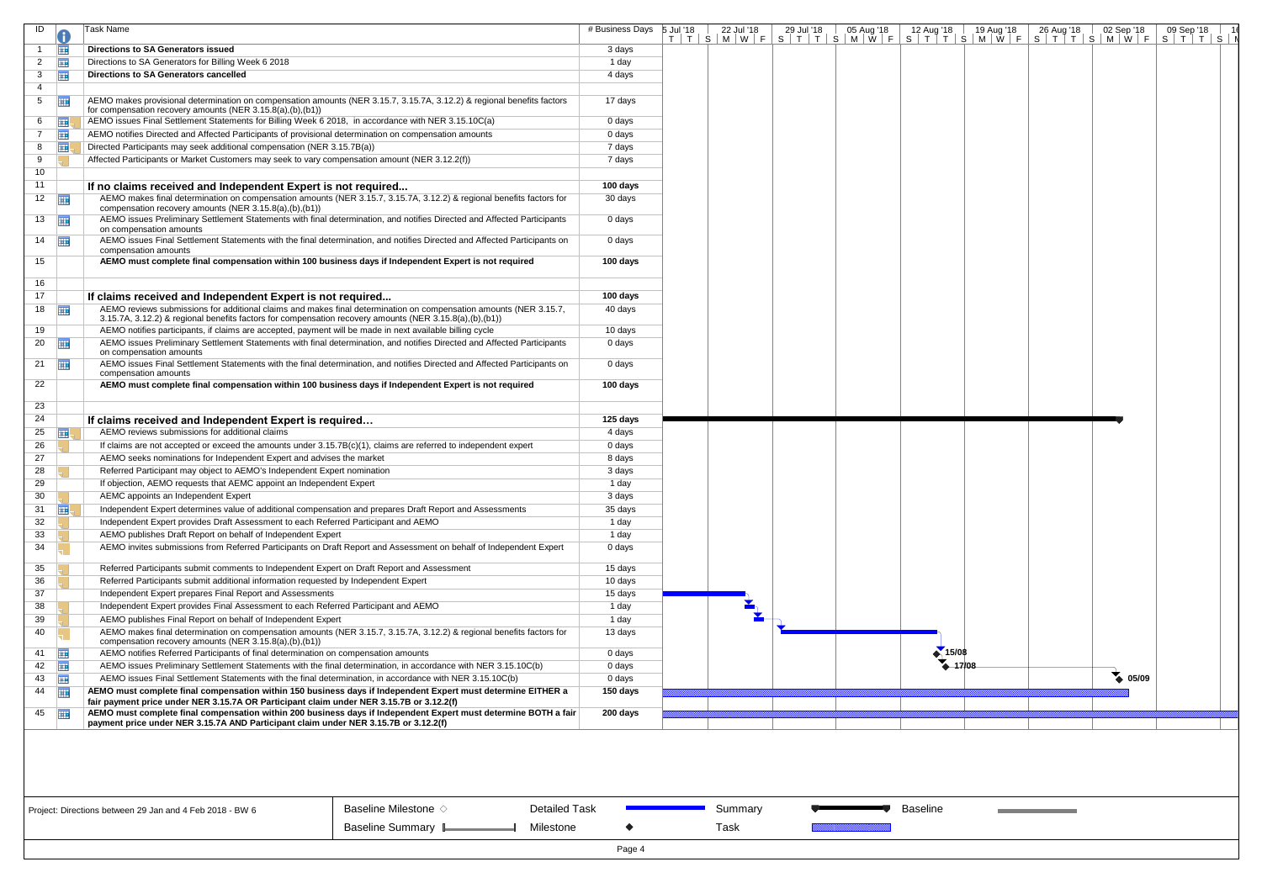| ID             |                       | Task Name                                                                                                                                                                                               | # Business Days | 5 Jul '18 | 22 Jul '18 | 29 Jul '18 | 05 Aug '18 | 12 Aug '18        | 19 Aug '18 | 26 Aug '18 | 02 Sep '18      | 09 Sep '18<br>T   T   S   M   W   F   S   T   T   S   M   W   F   S   T   T   S   M   W   F   S   T   T   S   M   W   F   S   T   T   S   I |  |
|----------------|-----------------------|---------------------------------------------------------------------------------------------------------------------------------------------------------------------------------------------------------|-----------------|-----------|------------|------------|------------|-------------------|------------|------------|-----------------|---------------------------------------------------------------------------------------------------------------------------------------------|--|
|                | Ħ                     | <b>Directions to SA Generators issued</b>                                                                                                                                                               | 3 days          |           |            |            |            |                   |            |            |                 |                                                                                                                                             |  |
| 2              | <b>THE</b>            | Directions to SA Generators for Billing Week 6 2018                                                                                                                                                     | 1 day           |           |            |            |            |                   |            |            |                 |                                                                                                                                             |  |
| 3              | 亜                     | <b>Directions to SA Generators cancelled</b>                                                                                                                                                            | 4 days          |           |            |            |            |                   |            |            |                 |                                                                                                                                             |  |
| 4              |                       |                                                                                                                                                                                                         |                 |           |            |            |            |                   |            |            |                 |                                                                                                                                             |  |
| 5 <sup>5</sup> | <b>THE</b>            | AEMO makes provisional determination on compensation amounts (NER 3.15.7, 3.15.7A, 3.12.2) & regional benefits factors<br>for compensation recovery amounts (NER 3.15.8(a),(b),(b1))                    | 17 days         |           |            |            |            |                   |            |            |                 |                                                                                                                                             |  |
| 6              | <b>III</b>            | AEMO issues Final Settlement Statements for Billing Week 6 2018, in accordance with NER 3.15.10C(a)                                                                                                     | 0 days          |           |            |            |            |                   |            |            |                 |                                                                                                                                             |  |
| 7              | 亜                     | AEMO notifies Directed and Affected Participants of provisional determination on compensation amounts                                                                                                   | 0 days          |           |            |            |            |                   |            |            |                 |                                                                                                                                             |  |
| 8              | ⊞                     | Directed Participants may seek additional compensation (NER 3.15.7B(a))                                                                                                                                 | 7 days          |           |            |            |            |                   |            |            |                 |                                                                                                                                             |  |
| 9              |                       | Affected Participants or Market Customers may seek to vary compensation amount (NER 3.12.2(f))                                                                                                          | 7 days          |           |            |            |            |                   |            |            |                 |                                                                                                                                             |  |
| 10             |                       |                                                                                                                                                                                                         |                 |           |            |            |            |                   |            |            |                 |                                                                                                                                             |  |
| 11             |                       | If no claims received and Independent Expert is not required                                                                                                                                            | 100 days        |           |            |            |            |                   |            |            |                 |                                                                                                                                             |  |
|                | $12 \quad \boxed{11}$ | AEMO makes final determination on compensation amounts (NER 3.15.7, 3.15.7A, 3.12.2) & regional benefits factors for                                                                                    | 30 days         |           |            |            |            |                   |            |            |                 |                                                                                                                                             |  |
|                |                       | compensation recovery amounts (NER 3.15.8(a),(b),(b1))                                                                                                                                                  |                 |           |            |            |            |                   |            |            |                 |                                                                                                                                             |  |
|                | $13 \quad \Box$       | AEMO issues Preliminary Settlement Statements with final determination, and notifies Directed and Affected Participants<br>on compensation amounts                                                      | 0 days          |           |            |            |            |                   |            |            |                 |                                                                                                                                             |  |
|                | $14$ $\frac{1}{2}$    | AEMO issues Final Settlement Statements with the final determination, and notifies Directed and Affected Participants on<br>compensation amounts                                                        | 0 days          |           |            |            |            |                   |            |            |                 |                                                                                                                                             |  |
| 15             |                       | AEMO must complete final compensation within 100 business days if Independent Expert is not required                                                                                                    | 100 days        |           |            |            |            |                   |            |            |                 |                                                                                                                                             |  |
| 16             |                       |                                                                                                                                                                                                         |                 |           |            |            |            |                   |            |            |                 |                                                                                                                                             |  |
| 17             |                       | If claims received and Independent Expert is not required                                                                                                                                               | 100 days        |           |            |            |            |                   |            |            |                 |                                                                                                                                             |  |
|                | $18$ $\frac{1}{2}$    | AEMO reviews submissions for additional claims and makes final determination on compensation amounts (NER 3.15.7,                                                                                       | 40 days         |           |            |            |            |                   |            |            |                 |                                                                                                                                             |  |
|                |                       | 3.15.7A, 3.12.2) & regional benefits factors for compensation recovery amounts (NER 3.15.8(a),(b),(b1))                                                                                                 |                 |           |            |            |            |                   |            |            |                 |                                                                                                                                             |  |
| 19             |                       | AEMO notifies participants, if claims are accepted, payment will be made in next available billing cycle                                                                                                | 10 days         |           |            |            |            |                   |            |            |                 |                                                                                                                                             |  |
|                | $20 \quad \boxed{11}$ | AEMO issues Preliminary Settlement Statements with final determination, and notifies Directed and Affected Participants<br>on compensation amounts                                                      | 0 days          |           |            |            |            |                   |            |            |                 |                                                                                                                                             |  |
| 21             | <b>HIE</b>            | AEMO issues Final Settlement Statements with the final determination, and notifies Directed and Affected Participants on<br>compensation amounts                                                        | 0 days          |           |            |            |            |                   |            |            |                 |                                                                                                                                             |  |
| 22             |                       | AEMO must complete final compensation within 100 business days if Independent Expert is not required                                                                                                    | 100 days        |           |            |            |            |                   |            |            |                 |                                                                                                                                             |  |
| 23             |                       |                                                                                                                                                                                                         |                 |           |            |            |            |                   |            |            |                 |                                                                                                                                             |  |
| 24             |                       |                                                                                                                                                                                                         | 125 days        |           |            |            |            |                   |            |            |                 |                                                                                                                                             |  |
| 25             | <b>III</b>            | If claims received and Independent Expert is required<br>AEMO reviews submissions for additional claims                                                                                                 | 4 days          |           |            |            |            |                   |            |            |                 |                                                                                                                                             |  |
| 26             |                       | If claims are not accepted or exceed the amounts under $3.15.7B(c)(1)$ , claims are referred to independent expert                                                                                      | 0 days          |           |            |            |            |                   |            |            |                 |                                                                                                                                             |  |
| 27             |                       | AEMO seeks nominations for Independent Expert and advises the market                                                                                                                                    | 8 days          |           |            |            |            |                   |            |            |                 |                                                                                                                                             |  |
| 28             |                       | Referred Participant may object to AEMO's Independent Expert nomination                                                                                                                                 | 3 days          |           |            |            |            |                   |            |            |                 |                                                                                                                                             |  |
| 29             |                       | If objection, AEMO requests that AEMC appoint an Independent Expert                                                                                                                                     | 1 day           |           |            |            |            |                   |            |            |                 |                                                                                                                                             |  |
| 30             |                       | AEMC appoints an Independent Expert                                                                                                                                                                     | 3 days          |           |            |            |            |                   |            |            |                 |                                                                                                                                             |  |
| 31             | ⊞、                    | Independent Expert determines value of additional compensation and prepares Draft Report and Assessments                                                                                                | 35 days         |           |            |            |            |                   |            |            |                 |                                                                                                                                             |  |
| 32             |                       | Independent Expert provides Draft Assessment to each Referred Participant and AEMO                                                                                                                      | 1 day           |           |            |            |            |                   |            |            |                 |                                                                                                                                             |  |
| 33             |                       | AEMO publishes Draft Report on behalf of Independent Expert                                                                                                                                             | 1 day           |           |            |            |            |                   |            |            |                 |                                                                                                                                             |  |
| 34             |                       | AEMO invites submissions from Referred Participants on Draft Report and Assessment on behalf of Independent Expert                                                                                      | 0 days          |           |            |            |            |                   |            |            |                 |                                                                                                                                             |  |
|                |                       |                                                                                                                                                                                                         |                 |           |            |            |            |                   |            |            |                 |                                                                                                                                             |  |
| 35             |                       | Referred Participants submit comments to Independent Expert on Draft Report and Assessment                                                                                                              | 15 days         |           |            |            |            |                   |            |            |                 |                                                                                                                                             |  |
| 36             |                       | Referred Participants submit additional information requested by Independent Expert                                                                                                                     | 10 days         |           |            |            |            |                   |            |            |                 |                                                                                                                                             |  |
| 37             |                       | Independent Expert prepares Final Report and Assessments                                                                                                                                                | 15 days         |           |            |            |            |                   |            |            |                 |                                                                                                                                             |  |
| 38             |                       | Independent Expert provides Final Assessment to each Referred Participant and AEMO                                                                                                                      | 1 day           |           |            |            |            |                   |            |            |                 |                                                                                                                                             |  |
| 39             |                       | AEMO publishes Final Report on behalf of Independent Expert                                                                                                                                             | 1 day           |           |            |            |            |                   |            |            |                 |                                                                                                                                             |  |
| 40             |                       | AEMO makes final determination on compensation amounts (NER 3.15.7, 3.15.7A, 3.12.2) & regional benefits factors for                                                                                    | 13 days         |           |            |            |            |                   |            |            |                 |                                                                                                                                             |  |
| 41             | 噩                     | compensation recovery amounts (NER 3.15.8(a),(b),(b1))<br>AEMO notifies Referred Participants of final determination on compensation amounts                                                            | 0 days          |           |            |            |            | 15/08             |            |            |                 |                                                                                                                                             |  |
| 42             | <b>HIE</b>            | AEMO issues Preliminary Settlement Statements with the final determination, in accordance with NER 3.15.10C(b)                                                                                          | 0 days          |           |            |            |            | $\triangle$ 17/08 |            |            |                 |                                                                                                                                             |  |
| 43             | 亜                     | AEMO issues Final Settlement Statements with the final determination, in accordance with NER 3.15.10C(b)                                                                                                | 0 days          |           |            |            |            |                   |            |            | $\bullet$ 05/09 |                                                                                                                                             |  |
| 44             | <b>THE</b>            | AEMO must complete final compensation within 150 business days if Independent Expert must determine EITHER a                                                                                            | 150 days        |           |            |            |            |                   |            |            |                 |                                                                                                                                             |  |
|                |                       | fair payment price under NER 3.15.7A OR Participant claim under NER 3.15.7B or 3.12.2(f)                                                                                                                |                 |           |            |            |            |                   |            |            |                 |                                                                                                                                             |  |
|                | 45                    | AEMO must complete final compensation within 200 business days if Independent Expert must determine BOTH a fair<br>payment price under NER 3.15.7A AND Participant claim under NER 3.15.7B or 3.12.2(f) | 200 days        |           |            |            |            |                   |            |            |                 |                                                                                                                                             |  |
|                |                       |                                                                                                                                                                                                         |                 |           |            |            |            |                   |            |            |                 |                                                                                                                                             |  |
|                |                       |                                                                                                                                                                                                         |                 |           |            |            |            |                   |            |            |                 |                                                                                                                                             |  |

Summary Task

**Baseline** 



Detailed Task

Milestone

Page 4

 $\blacklozenge$ 

Baseline Milestone  $\diamond$ Baseline Summary L